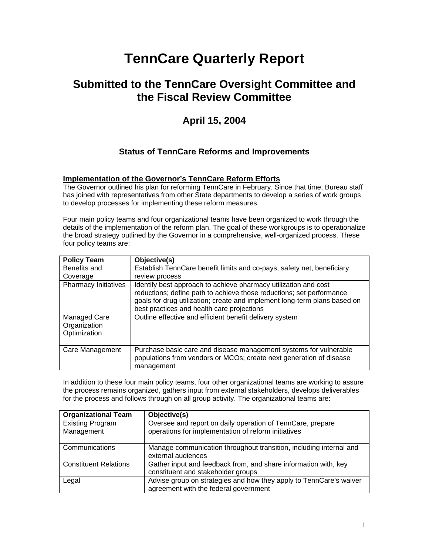# **TennCare Quarterly Report**

## **Submitted to the TennCare Oversight Committee and the Fiscal Review Committee**

## **April 15, 2004**

## **Status of TennCare Reforms and Improvements**

### **Implementation of the Governor's TennCare Reform Efforts**

The Governor outlined his plan for reforming TennCare in February. Since that time, Bureau staff has joined with representatives from other State departments to develop a series of work groups to develop processes for implementing these reform measures.

Four main policy teams and four organizational teams have been organized to work through the details of the implementation of the reform plan. The goal of these workgroups is to operationalize the broad strategy outlined by the Governor in a comprehensive, well-organized process. These four policy teams are:

| <b>Policy Team</b>                           | Objective(s)                                                                                                                                                                                                                                                       |
|----------------------------------------------|--------------------------------------------------------------------------------------------------------------------------------------------------------------------------------------------------------------------------------------------------------------------|
| Benefits and                                 | Establish TennCare benefit limits and co-pays, safety net, beneficiary                                                                                                                                                                                             |
| Coverage                                     | review process                                                                                                                                                                                                                                                     |
| <b>Pharmacy Initiatives</b>                  | Identify best approach to achieve pharmacy utilization and cost<br>reductions; define path to achieve those reductions; set performance<br>goals for drug utilization; create and implement long-term plans based on<br>best practices and health care projections |
| Managed Care<br>Organization<br>Optimization | Outline effective and efficient benefit delivery system                                                                                                                                                                                                            |
| Care Management                              | Purchase basic care and disease management systems for vulnerable<br>populations from vendors or MCOs; create next generation of disease<br>management                                                                                                             |

In addition to these four main policy teams, four other organizational teams are working to assure the process remains organized, gathers input from external stakeholders, develops deliverables for the process and follows through on all group activity. The organizational teams are:

| <b>Organizational Team</b>   | Objective(s)                                                                             |
|------------------------------|------------------------------------------------------------------------------------------|
| <b>Existing Program</b>      | Oversee and report on daily operation of TennCare, prepare                               |
| Management                   | operations for implementation of reform initiatives                                      |
| Communications               | Manage communication throughout transition, including internal and<br>external audiences |
| <b>Constituent Relations</b> | Gather input and feedback from, and share information with, key                          |
|                              | constituent and stakeholder groups                                                       |
| Legal                        | Advise group on strategies and how they apply to TennCare's waiver                       |
|                              | agreement with the federal government                                                    |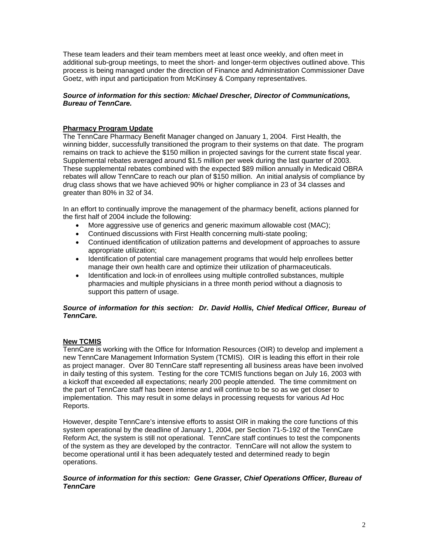These team leaders and their team members meet at least once weekly, and often meet in additional sub-group meetings, to meet the short- and longer-term objectives outlined above. This process is being managed under the direction of Finance and Administration Commissioner Dave Goetz, with input and participation from McKinsey & Company representatives.

#### *Source of information for this section: Michael Drescher, Director of Communications, Bureau of TennCare.*

#### **Pharmacy Program Update**

The TennCare Pharmacy Benefit Manager changed on January 1, 2004. First Health, the winning bidder, successfully transitioned the program to their systems on that date. The program remains on track to achieve the \$150 million in projected savings for the current state fiscal year. Supplemental rebates averaged around \$1.5 million per week during the last quarter of 2003. These supplemental rebates combined with the expected \$89 million annually in Medicaid OBRA rebates will allow TennCare to reach our plan of \$150 million. An initial analysis of compliance by drug class shows that we have achieved 90% or higher compliance in 23 of 34 classes and greater than 80% in 32 of 34.

In an effort to continually improve the management of the pharmacy benefit, actions planned for the first half of 2004 include the following:

- More aggressive use of generics and generic maximum allowable cost (MAC);
- Continued discussions with First Health concerning multi-state pooling;
- Continued identification of utilization patterns and development of approaches to assure appropriate utilization;
- Identification of potential care management programs that would help enrollees better manage their own health care and optimize their utilization of pharmaceuticals.
- Identification and lock-in of enrollees using multiple controlled substances, multiple pharmacies and multiple physicians in a three month period without a diagnosis to support this pattern of usage.

#### *Source of information for this section: Dr. David Hollis, Chief Medical Officer, Bureau of TennCare.*

#### **New TCMIS**

TennCare is working with the Office for Information Resources (OIR) to develop and implement a new TennCare Management Information System (TCMIS). OIR is leading this effort in their role as project manager. Over 80 TennCare staff representing all business areas have been involved in daily testing of this system. Testing for the core TCMIS functions began on July 16, 2003 with a kickoff that exceeded all expectations; nearly 200 people attended. The time commitment on the part of TennCare staff has been intense and will continue to be so as we get closer to implementation. This may result in some delays in processing requests for various Ad Hoc Reports.

However, despite TennCare's intensive efforts to assist OIR in making the core functions of this system operational by the deadline of January 1, 2004, per Section 71-5-192 of the TennCare Reform Act, the system is still not operational. TennCare staff continues to test the components of the system as they are developed by the contractor. TennCare will not allow the system to become operational until it has been adequately tested and determined ready to begin operations.

#### *Source of information for this section: Gene Grasser, Chief Operations Officer, Bureau of TennCare*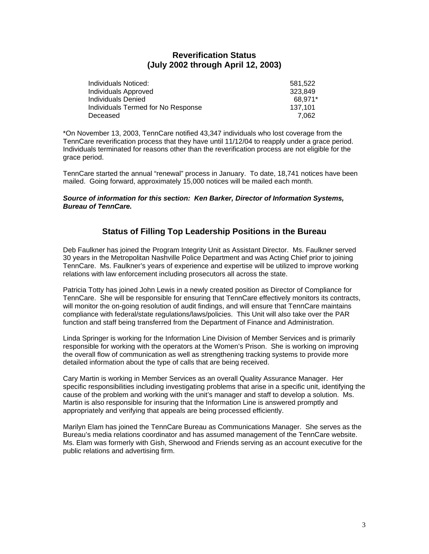## **Reverification Status (July 2002 through April 12, 2003)**

| Individuals Noticed:               | 581.522 |
|------------------------------------|---------|
| Individuals Approved               | 323.849 |
| Individuals Denied                 | 68.971* |
| Individuals Termed for No Response | 137.101 |
| Deceased                           | 7.062   |

\*On November 13, 2003, TennCare notified 43,347 individuals who lost coverage from the TennCare reverification process that they have until 11/12/04 to reapply under a grace period. Individuals terminated for reasons other than the reverification process are not eligible for the grace period.

TennCare started the annual "renewal" process in January. To date, 18,741 notices have been mailed. Going forward, approximately 15,000 notices will be mailed each month.

#### *Source of information for this section: Ken Barker, Director of Information Systems, Bureau of TennCare.*

## **Status of Filling Top Leadership Positions in the Bureau**

Deb Faulkner has joined the Program Integrity Unit as Assistant Director. Ms. Faulkner served 30 years in the Metropolitan Nashville Police Department and was Acting Chief prior to joining TennCare. Ms. Faulkner's years of experience and expertise will be utilized to improve working relations with law enforcement including prosecutors all across the state.

Patricia Totty has joined John Lewis in a newly created position as Director of Compliance for TennCare. She will be responsible for ensuring that TennCare effectively monitors its contracts, will monitor the on-going resolution of audit findings, and will ensure that TennCare maintains compliance with federal/state regulations/laws/policies. This Unit will also take over the PAR function and staff being transferred from the Department of Finance and Administration.

Linda Springer is working for the Information Line Division of Member Services and is primarily responsible for working with the operators at the Women's Prison. She is working on improving the overall flow of communication as well as strengthening tracking systems to provide more detailed information about the type of calls that are being received.

Cary Martin is working in Member Services as an overall Quality Assurance Manager. Her specific responsibilities including investigating problems that arise in a specific unit, identifying the cause of the problem and working with the unit's manager and staff to develop a solution. Ms. Martin is also responsible for insuring that the Information Line is answered promptly and appropriately and verifying that appeals are being processed efficiently.

Marilyn Elam has joined the TennCare Bureau as Communications Manager. She serves as the Bureau's media relations coordinator and has assumed management of the TennCare website. Ms. Elam was formerly with Gish, Sherwood and Friends serving as an account executive for the public relations and advertising firm.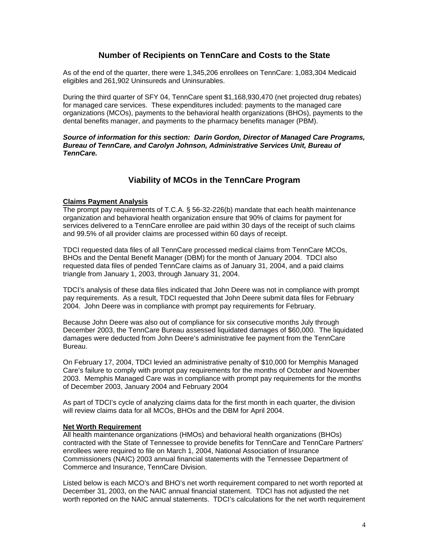## **Number of Recipients on TennCare and Costs to the State**

As of the end of the quarter, there were 1,345,206 enrollees on TennCare: 1,083,304 Medicaid eligibles and 261,902 Uninsureds and Uninsurables.

During the third quarter of SFY 04, TennCare spent \$1,168,930,470 (net projected drug rebates) for managed care services. These expenditures included: payments to the managed care organizations (MCOs), payments to the behavioral health organizations (BHOs), payments to the dental benefits manager, and payments to the pharmacy benefits manager (PBM).

#### *Source of information for this section: Darin Gordon, Director of Managed Care Programs, Bureau of TennCare, and Carolyn Johnson, Administrative Services Unit, Bureau of TennCare.*

## **Viability of MCOs in the TennCare Program**

#### **Claims Payment Analysis**

The prompt pay requirements of T.C.A. § 56-32-226(b) mandate that each health maintenance organization and behavioral health organization ensure that 90% of claims for payment for services delivered to a TennCare enrollee are paid within 30 days of the receipt of such claims and 99.5% of all provider claims are processed within 60 days of receipt.

TDCI requested data files of all TennCare processed medical claims from TennCare MCOs, BHOs and the Dental Benefit Manager (DBM) for the month of January 2004. TDCI also requested data files of pended TennCare claims as of January 31, 2004, and a paid claims triangle from January 1, 2003, through January 31, 2004.

TDCI's analysis of these data files indicated that John Deere was not in compliance with prompt pay requirements. As a result, TDCI requested that John Deere submit data files for February 2004. John Deere was in compliance with prompt pay requirements for February.

Because John Deere was also out of compliance for six consecutive months July through December 2003, the TennCare Bureau assessed liquidated damages of \$60,000. The liquidated damages were deducted from John Deere's administrative fee payment from the TennCare Bureau.

On February 17, 2004, TDCI levied an administrative penalty of \$10,000 for Memphis Managed Care's failure to comply with prompt pay requirements for the months of October and November 2003. Memphis Managed Care was in compliance with prompt pay requirements for the months of December 2003, January 2004 and February 2004

As part of TDCI's cycle of analyzing claims data for the first month in each quarter, the division will review claims data for all MCOs, BHOs and the DBM for April 2004.

#### **Net Worth Requirement**

All health maintenance organizations (HMOs) and behavioral health organizations (BHOs) contracted with the State of Tennessee to provide benefits for TennCare and TennCare Partners' enrollees were required to file on March 1, 2004, National Association of Insurance Commissioners (NAIC) 2003 annual financial statements with the Tennessee Department of Commerce and Insurance, TennCare Division.

Listed below is each MCO's and BHO's net worth requirement compared to net worth reported at December 31, 2003, on the NAIC annual financial statement. TDCI has not adjusted the net worth reported on the NAIC annual statements. TDCI's calculations for the net worth requirement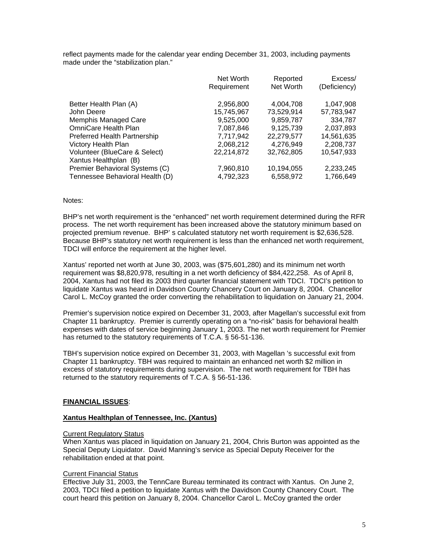reflect payments made for the calendar year ending December 31, 2003, including payments made under the "stabilization plan."

|                                 | Net Worth   | Reported<br>Net Worth | Excess/      |
|---------------------------------|-------------|-----------------------|--------------|
|                                 | Requirement |                       | (Deficiency) |
| Better Health Plan (A)          | 2,956,800   | 4,004,708             | 1,047,908    |
| John Deere                      | 15,745,967  | 73,529,914            | 57,783,947   |
| Memphis Managed Care            | 9,525,000   | 9,859,787             | 334,787      |
| <b>OmniCare Health Plan</b>     | 7,087,846   | 9,125,739             | 2,037,893    |
| Preferred Health Partnership    | 7,717,942   | 22,279,577            | 14,561,635   |
| <b>Victory Health Plan</b>      | 2,068,212   | 4.276.949             | 2,208,737    |
| Volunteer (BlueCare & Select)   | 22,214,872  | 32,762,805            | 10,547,933   |
| Xantus Healthplan (B)           |             |                       |              |
| Premier Behavioral Systems (C)  | 7,960,810   | 10,194,055            | 2,233,245    |
| Tennessee Behavioral Health (D) | 4,792,323   | 6,558,972             | 1,766,649    |

#### Notes:

BHP's net worth requirement is the "enhanced" net worth requirement determined during the RFR process. The net worth requirement has been increased above the statutory minimum based on projected premium revenue. BHP' s calculated statutory net worth requirement is \$2,636,528. Because BHP's statutory net worth requirement is less than the enhanced net worth requirement, TDCI will enforce the requirement at the higher level.

Xantus' reported net worth at June 30, 2003, was (\$75,601,280) and its minimum net worth requirement was \$8,820,978, resulting in a net worth deficiency of \$84,422,258. As of April 8, 2004, Xantus had not filed its 2003 third quarter financial statement with TDCI. TDCI's petition to liquidate Xantus was heard in Davidson County Chancery Court on January 8, 2004. Chancellor Carol L. McCoy granted the order converting the rehabilitation to liquidation on January 21, 2004.

Premier's supervision notice expired on December 31, 2003, after Magellan's successful exit from Chapter 11 bankruptcy. Premier is currently operating on a "no-risk" basis for behavioral health expenses with dates of service beginning January 1, 2003. The net worth requirement for Premier has returned to the statutory requirements of T.C.A. § 56-51-136.

TBH's supervision notice expired on December 31, 2003, with Magellan 's successful exit from Chapter 11 bankruptcy. TBH was required to maintain an enhanced net worth \$2 million in excess of statutory requirements during supervision. The net worth requirement for TBH has returned to the statutory requirements of T.C.A. § 56-51-136.

#### **FINANCIAL ISSUES**:

#### **Xantus Healthplan of Tennessee, Inc. (Xantus)**

#### Current Regulatory Status

When Xantus was placed in liquidation on January 21, 2004, Chris Burton was appointed as the Special Deputy Liquidator. David Manning's service as Special Deputy Receiver for the rehabilitation ended at that point.

#### Current Financial Status

Effective July 31, 2003, the TennCare Bureau terminated its contract with Xantus. On June 2, 2003, TDCI filed a petition to liquidate Xantus with the Davidson County Chancery Court. The court heard this petition on January 8, 2004. Chancellor Carol L. McCoy granted the order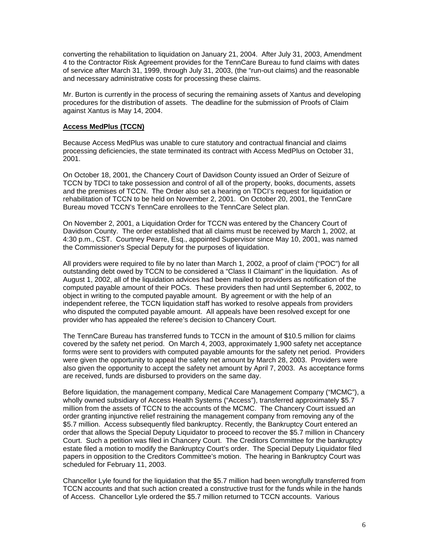converting the rehabilitation to liquidation on January 21, 2004. After July 31, 2003, Amendment 4 to the Contractor Risk Agreement provides for the TennCare Bureau to fund claims with dates of service after March 31, 1999, through July 31, 2003, (the "run-out claims) and the reasonable and necessary administrative costs for processing these claims.

Mr. Burton is currently in the process of securing the remaining assets of Xantus and developing procedures for the distribution of assets. The deadline for the submission of Proofs of Claim against Xantus is May 14, 2004.

#### **Access MedPlus (TCCN)**

Because Access MedPlus was unable to cure statutory and contractual financial and claims processing deficiencies, the state terminated its contract with Access MedPlus on October 31, 2001.

On October 18, 2001, the Chancery Court of Davidson County issued an Order of Seizure of TCCN by TDCI to take possession and control of all of the property, books, documents, assets and the premises of TCCN. The Order also set a hearing on TDCI's request for liquidation or rehabilitation of TCCN to be held on November 2, 2001. On October 20, 2001, the TennCare Bureau moved TCCN's TennCare enrollees to the TennCare Select plan.

On November 2, 2001, a Liquidation Order for TCCN was entered by the Chancery Court of Davidson County. The order established that all claims must be received by March 1, 2002, at 4:30 p.m., CST. Courtney Pearre, Esq., appointed Supervisor since May 10, 2001, was named the Commissioner's Special Deputy for the purposes of liquidation.

All providers were required to file by no later than March 1, 2002, a proof of claim ("POC") for all outstanding debt owed by TCCN to be considered a "Class II Claimant" in the liquidation. As of August 1, 2002, all of the liquidation advices had been mailed to providers as notification of the computed payable amount of their POCs. These providers then had until September 6, 2002, to object in writing to the computed payable amount. By agreement or with the help of an independent referee, the TCCN liquidation staff has worked to resolve appeals from providers who disputed the computed payable amount. All appeals have been resolved except for one provider who has appealed the referee's decision to Chancery Court.

The TennCare Bureau has transferred funds to TCCN in the amount of \$10.5 million for claims covered by the safety net period. On March 4, 2003, approximately 1,900 safety net acceptance forms were sent to providers with computed payable amounts for the safety net period. Providers were given the opportunity to appeal the safety net amount by March 28, 2003. Providers were also given the opportunity to accept the safety net amount by April 7, 2003. As acceptance forms are received, funds are disbursed to providers on the same day.

Before liquidation, the management company, Medical Care Management Company ("MCMC"), a wholly owned subsidiary of Access Health Systems ("Access"), transferred approximately \$5.7 million from the assets of TCCN to the accounts of the MCMC. The Chancery Court issued an order granting injunctive relief restraining the management company from removing any of the \$5.7 million. Access subsequently filed bankruptcy. Recently, the Bankruptcy Court entered an order that allows the Special Deputy Liquidator to proceed to recover the \$5.7 million in Chancery Court. Such a petition was filed in Chancery Court. The Creditors Committee for the bankruptcy estate filed a motion to modify the Bankruptcy Court's order. The Special Deputy Liquidator filed papers in opposition to the Creditors Committee's motion. The hearing in Bankruptcy Court was scheduled for February 11, 2003.

Chancellor Lyle found for the liquidation that the \$5.7 million had been wrongfully transferred from TCCN accounts and that such action created a constructive trust for the funds while in the hands of Access. Chancellor Lyle ordered the \$5.7 million returned to TCCN accounts. Various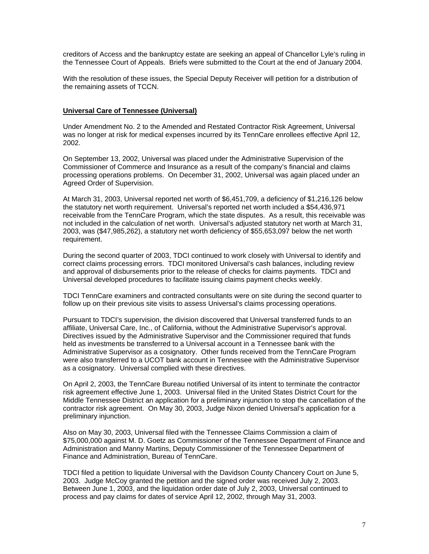creditors of Access and the bankruptcy estate are seeking an appeal of Chancellor Lyle's ruling in the Tennessee Court of Appeals. Briefs were submitted to the Court at the end of January 2004.

With the resolution of these issues, the Special Deputy Receiver will petition for a distribution of the remaining assets of TCCN.

#### **Universal Care of Tennessee (Universal)**

Under Amendment No. 2 to the Amended and Restated Contractor Risk Agreement, Universal was no longer at risk for medical expenses incurred by its TennCare enrollees effective April 12, 2002.

On September 13, 2002, Universal was placed under the Administrative Supervision of the Commissioner of Commerce and Insurance as a result of the company's financial and claims processing operations problems. On December 31, 2002, Universal was again placed under an Agreed Order of Supervision.

At March 31, 2003, Universal reported net worth of \$6,451,709, a deficiency of \$1,216,126 below the statutory net worth requirement. Universal's reported net worth included a \$54,436,971 receivable from the TennCare Program, which the state disputes. As a result, this receivable was not included in the calculation of net worth. Universal's adjusted statutory net worth at March 31, 2003, was (\$47,985,262), a statutory net worth deficiency of \$55,653,097 below the net worth requirement.

During the second quarter of 2003, TDCI continued to work closely with Universal to identify and correct claims processing errors. TDCI monitored Universal's cash balances, including review and approval of disbursements prior to the release of checks for claims payments. TDCI and Universal developed procedures to facilitate issuing claims payment checks weekly.

TDCI TennCare examiners and contracted consultants were on site during the second quarter to follow up on their previous site visits to assess Universal's claims processing operations.

Pursuant to TDCI's supervision, the division discovered that Universal transferred funds to an affiliate, Universal Care, Inc., of California, without the Administrative Supervisor's approval. Directives issued by the Administrative Supervisor and the Commissioner required that funds held as investments be transferred to a Universal account in a Tennessee bank with the Administrative Supervisor as a cosignatory. Other funds received from the TennCare Program were also transferred to a UCOT bank account in Tennessee with the Administrative Supervisor as a cosignatory. Universal complied with these directives.

On April 2, 2003, the TennCare Bureau notified Universal of its intent to terminate the contractor risk agreement effective June 1, 2003. Universal filed in the United States District Court for the Middle Tennessee District an application for a preliminary injunction to stop the cancellation of the contractor risk agreement. On May 30, 2003, Judge Nixon denied Universal's application for a preliminary injunction.

Also on May 30, 2003, Universal filed with the Tennessee Claims Commission a claim of \$75,000,000 against M. D. Goetz as Commissioner of the Tennessee Department of Finance and Administration and Manny Martins, Deputy Commissioner of the Tennessee Department of Finance and Administration, Bureau of TennCare.

TDCI filed a petition to liquidate Universal with the Davidson County Chancery Court on June 5, 2003. Judge McCoy granted the petition and the signed order was received July 2, 2003. Between June 1, 2003, and the liquidation order date of July 2, 2003, Universal continued to process and pay claims for dates of service April 12, 2002, through May 31, 2003.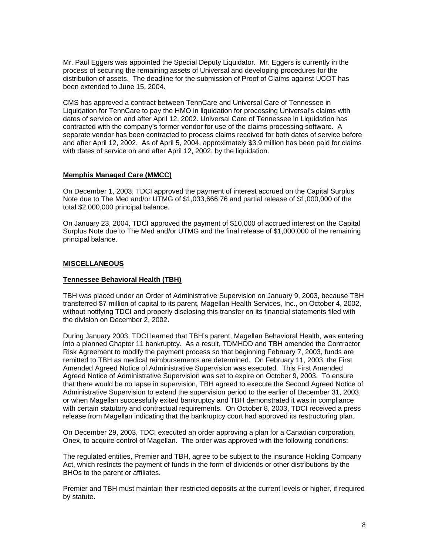Mr. Paul Eggers was appointed the Special Deputy Liquidator. Mr. Eggers is currently in the process of securing the remaining assets of Universal and developing procedures for the distribution of assets. The deadline for the submission of Proof of Claims against UCOT has been extended to June 15, 2004.

CMS has approved a contract between TennCare and Universal Care of Tennessee in Liquidation for TennCare to pay the HMO in liquidation for processing Universal's claims with dates of service on and after April 12, 2002. Universal Care of Tennessee in Liquidation has contracted with the company's former vendor for use of the claims processing software. A separate vendor has been contracted to process claims received for both dates of service before and after April 12, 2002. As of April 5, 2004, approximately \$3.9 million has been paid for claims with dates of service on and after April 12, 2002, by the liquidation.

#### **Memphis Managed Care (MMCC)**

On December 1, 2003, TDCI approved the payment of interest accrued on the Capital Surplus Note due to The Med and/or UTMG of \$1,033,666.76 and partial release of \$1,000,000 of the total \$2,000,000 principal balance.

On January 23, 2004, TDCI approved the payment of \$10,000 of accrued interest on the Capital Surplus Note due to The Med and/or UTMG and the final release of \$1,000,000 of the remaining principal balance.

#### **MISCELLANEOUS**

#### **Tennessee Behavioral Health (TBH)**

TBH was placed under an Order of Administrative Supervision on January 9, 2003, because TBH transferred \$7 million of capital to its parent, Magellan Health Services, Inc., on October 4, 2002, without notifying TDCI and properly disclosing this transfer on its financial statements filed with the division on December 2, 2002.

During January 2003, TDCI learned that TBH's parent, Magellan Behavioral Health, was entering into a planned Chapter 11 bankruptcy. As a result, TDMHDD and TBH amended the Contractor Risk Agreement to modify the payment process so that beginning February 7, 2003, funds are remitted to TBH as medical reimbursements are determined. On February 11, 2003, the First Amended Agreed Notice of Administrative Supervision was executed. This First Amended Agreed Notice of Administrative Supervision was set to expire on October 9, 2003. To ensure that there would be no lapse in supervision, TBH agreed to execute the Second Agreed Notice of Administrative Supervision to extend the supervision period to the earlier of December 31, 2003, or when Magellan successfully exited bankruptcy and TBH demonstrated it was in compliance with certain statutory and contractual requirements. On October 8, 2003, TDCI received a press release from Magellan indicating that the bankruptcy court had approved its restructuring plan.

On December 29, 2003, TDCI executed an order approving a plan for a Canadian corporation, Onex, to acquire control of Magellan. The order was approved with the following conditions:

The regulated entities, Premier and TBH, agree to be subject to the insurance Holding Company Act, which restricts the payment of funds in the form of dividends or other distributions by the BHOs to the parent or affiliates.

Premier and TBH must maintain their restricted deposits at the current levels or higher, if required by statute.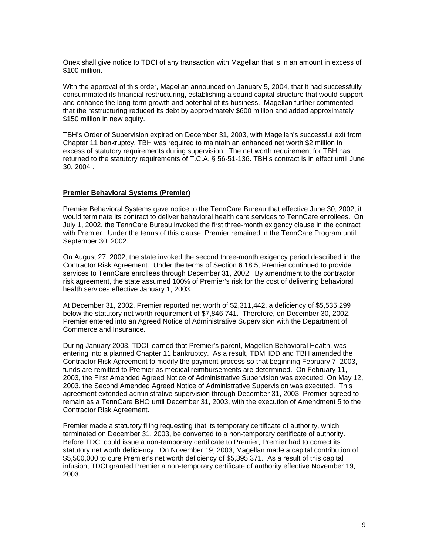Onex shall give notice to TDCI of any transaction with Magellan that is in an amount in excess of \$100 million.

With the approval of this order, Magellan announced on January 5, 2004, that it had successfully consummated its financial restructuring, establishing a sound capital structure that would support and enhance the long-term growth and potential of its business. Magellan further commented that the restructuring reduced its debt by approximately \$600 million and added approximately \$150 million in new equity.

TBH's Order of Supervision expired on December 31, 2003, with Magellan's successful exit from Chapter 11 bankruptcy. TBH was required to maintain an enhanced net worth \$2 million in excess of statutory requirements during supervision. The net worth requirement for TBH has returned to the statutory requirements of T.C.A. § 56-51-136. TBH's contract is in effect until June 30, 2004 .

#### **Premier Behavioral Systems (Premier)**

Premier Behavioral Systems gave notice to the TennCare Bureau that effective June 30, 2002, it would terminate its contract to deliver behavioral health care services to TennCare enrollees. On July 1, 2002, the TennCare Bureau invoked the first three-month exigency clause in the contract with Premier. Under the terms of this clause, Premier remained in the TennCare Program until September 30, 2002.

On August 27, 2002, the state invoked the second three-month exigency period described in the Contractor Risk Agreement. Under the terms of Section 6.18.5, Premier continued to provide services to TennCare enrollees through December 31, 2002. By amendment to the contractor risk agreement, the state assumed 100% of Premier's risk for the cost of delivering behavioral health services effective January 1, 2003.

At December 31, 2002, Premier reported net worth of \$2,311,442, a deficiency of \$5,535,299 below the statutory net worth requirement of \$7,846,741. Therefore, on December 30, 2002, Premier entered into an Agreed Notice of Administrative Supervision with the Department of Commerce and Insurance.

During January 2003, TDCI learned that Premier's parent, Magellan Behavioral Health, was entering into a planned Chapter 11 bankruptcy. As a result, TDMHDD and TBH amended the Contractor Risk Agreement to modify the payment process so that beginning February 7, 2003, funds are remitted to Premier as medical reimbursements are determined. On February 11, 2003, the First Amended Agreed Notice of Administrative Supervision was executed. On May 12, 2003, the Second Amended Agreed Notice of Administrative Supervision was executed. This agreement extended administrative supervision through December 31, 2003. Premier agreed to remain as a TennCare BHO until December 31, 2003, with the execution of Amendment 5 to the Contractor Risk Agreement.

Premier made a statutory filing requesting that its temporary certificate of authority, which terminated on December 31, 2003, be converted to a non-temporary certificate of authority. Before TDCI could issue a non-temporary certificate to Premier, Premier had to correct its statutory net worth deficiency. On November 19, 2003, Magellan made a capital contribution of \$5,500,000 to cure Premier's net worth deficiency of \$5,395,371. As a result of this capital infusion, TDCI granted Premier a non-temporary certificate of authority effective November 19, 2003.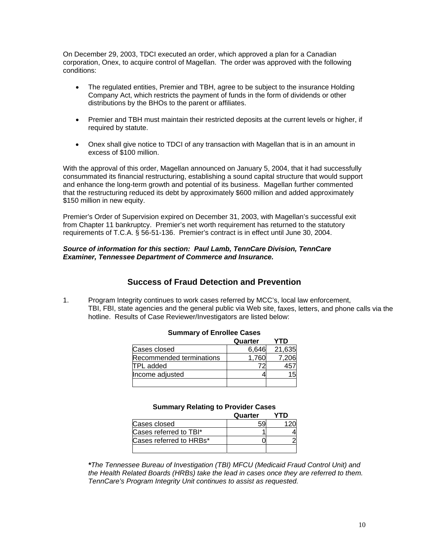On December 29, 2003, TDCI executed an order, which approved a plan for a Canadian corporation, Onex, to acquire control of Magellan. The order was approved with the following conditions:

- The regulated entities, Premier and TBH, agree to be subject to the insurance Holding Company Act, which restricts the payment of funds in the form of dividends or other distributions by the BHOs to the parent or affiliates.
- Premier and TBH must maintain their restricted deposits at the current levels or higher, if required by statute.
- Onex shall give notice to TDCI of any transaction with Magellan that is in an amount in excess of \$100 million.

With the approval of this order, Magellan announced on January 5, 2004, that it had successfully consummated its financial restructuring, establishing a sound capital structure that would support and enhance the long-term growth and potential of its business. Magellan further commented that the restructuring reduced its debt by approximately \$600 million and added approximately \$150 million in new equity.

Premier's Order of Supervision expired on December 31, 2003, with Magellan's successful exit from Chapter 11 bankruptcy. Premier's net worth requirement has returned to the statutory requirements of T.C.A. § 56-51-136. Premier's contract is in effect until June 30, 2004.

#### *Source of information for this section: Paul Lamb, TennCare Division, TennCare Examiner, Tennessee Department of Commerce and Insurance.*

## **Success of Fraud Detection and Prevention**

1. Program Integrity continues to work cases referred by MCC's, local law enforcement, TBI, FBI, state agencies and the general public via Web site, faxes, letters, and phone calls via the hotline. Results of Case Reviewer/Investigators are listed below:

|                          | Quarter | YTD    |
|--------------------------|---------|--------|
| Cases closed             | 6.646   | 21,635 |
| Recommended terminations |         | 206    |
| <b>TPL</b> added         |         |        |
| Income adjusted          |         |        |
|                          |         |        |

#### **Summary of Enrollee Cases**

#### **Summary Relating to Provider Cases**

|                         | Quarter |  |
|-------------------------|---------|--|
| Cases closed            |         |  |
| Cases referred to TBI*  |         |  |
| Cases referred to HRBs* |         |  |
|                         |         |  |

*\*The Tennessee Bureau of Investigation (TBI) MFCU (Medicaid Fraud Control Unit) and the Health Related Boards (HRBs) take the lead in cases once they are referred to them. TennCare's Program Integrity Unit continues to assist as requested.*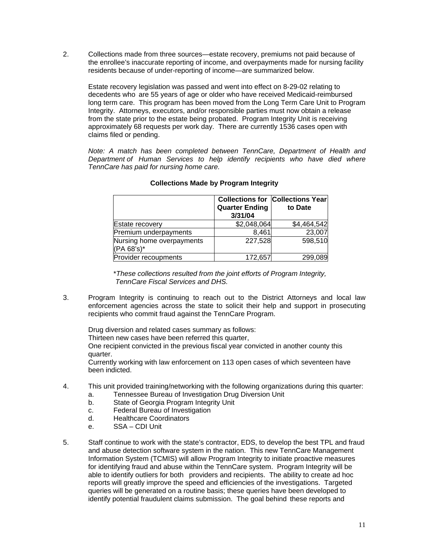2. Collections made from three sources—estate recovery, premiums not paid because of the enrollee's inaccurate reporting of income, and overpayments made for nursing facility residents because of under-reporting of income—are summarized below.

 Estate recovery legislation was passed and went into effect on 8-29-02 relating to decedents who are 55 years of age or older who have received Medicaid-reimbursed long term care. This program has been moved from the Long Term Care Unit to Program Integrity. Attorneys, executors, and/or responsible parties must now obtain a release from the state prior to the estate being probated. Program Integrity Unit is receiving approximately 68 requests per work day. There are currently 1536 cases open with claims filed or pending.

*Note: A match has been completed between TennCare, Department of Health and Department of Human Services to help identify recipients who have died where TennCare has paid for nursing home care.* 

|                                         | <b>Quarter Ending</b><br>3/31/04 | <b>Collections for Collections Year</b><br>to Date |
|-----------------------------------------|----------------------------------|----------------------------------------------------|
| Estate recovery                         | \$2,048,064                      | \$4,464,542                                        |
| Premium underpayments                   | 8,461                            | 23,007                                             |
| Nursing home overpayments<br>(PA 68's)* | 227,528                          | 598,510                                            |
| Provider recoupments                    | 172,657                          | 299,089                                            |

#### **Collections Made by Program Integrity**

 \**These collections resulted from the joint efforts of Program Integrity, TennCare Fiscal Services and DHS.* 

3. Program Integrity is continuing to reach out to the District Attorneys and local law enforcement agencies across the state to solicit their help and support in prosecuting recipients who commit fraud against the TennCare Program.

 Drug diversion and related cases summary as follows: Thirteen new cases have been referred this quarter, One recipient convicted in the previous fiscal year convicted in another county this quarter.

 Currently working with law enforcement on 113 open cases of which seventeen have been indicted.

- 4. This unit provided training/networking with the following organizations during this quarter:
	- a. Tennessee Bureau of Investigation Drug Diversion Unit
	- b. State of Georgia Program Integrity Unit
	- c. Federal Bureau of Investigation
	- d. Healthcare Coordinators
	- e. SSA CDI Unit
- 5. Staff continue to work with the state's contractor, EDS, to develop the best TPL and fraud and abuse detection software system in the nation. This new TennCare Management Information System (TCMIS) will allow Program Integrity to initiate proactive measures for identifying fraud and abuse within the TennCare system. Program Integrity will be able to identify outliers for both providers and recipients. The ability to create ad hoc reports will greatly improve the speed and efficiencies of the investigations. Targeted queries will be generated on a routine basis; these queries have been developed to identify potential fraudulent claims submission. The goal behind these reports and